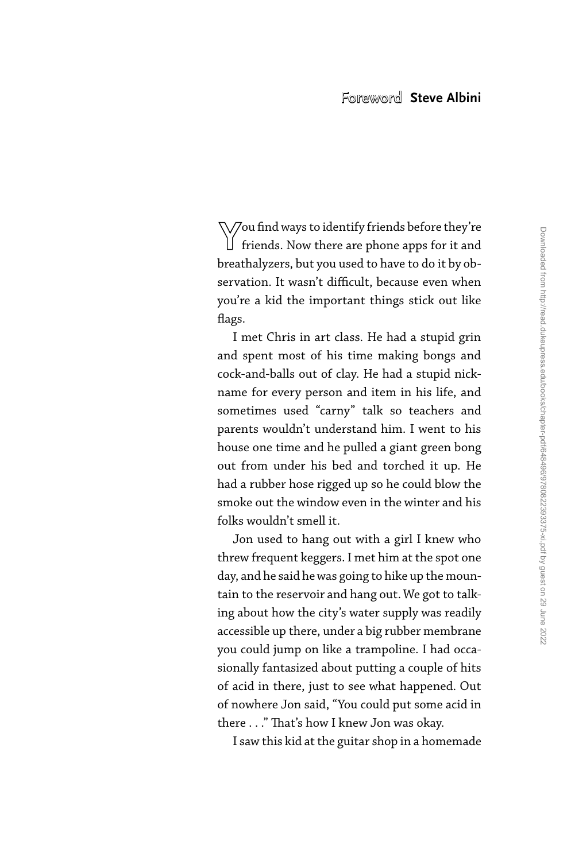**Y**ou find ways to identify friends before they're  $\Box$  friends. Now there are phone apps for it and breathalyzers, but you used to have to do it by observation. It wasn't difficult, because even when you're a kid the important things stick out like flags.

 I met Chris in art class. He had a stupid grin and spent most of his time making bongs and cock- and- balls out of clay. He had a stupid nickname for every person and item in his life, and sometimes used "carny" talk so teachers and parents wouldn't understand him. I went to his house one time and he pulled a giant green bong out from under his bed and torched it up. He had a rubber hose rigged up so he could blow the smoke out the window even in the winter and his folks wouldn't smell it.

 Jon used to hang out with a girl I knew who threw frequent keggers. I met him at the spot one day, and he said he was going to hike up the mountain to the reservoir and hang out. We got to talking about how the city's water supply was readily accessible up there, under a big rubber membrane you could jump on like a trampoline. I had occasionally fantasized about putting a couple of hits of acid in there, just to see what happened. Out of nowhere Jon said, "You could put some acid in there . . ." That's how I knew Jon was okay.

I saw this kid at the guitar shop in a homemade